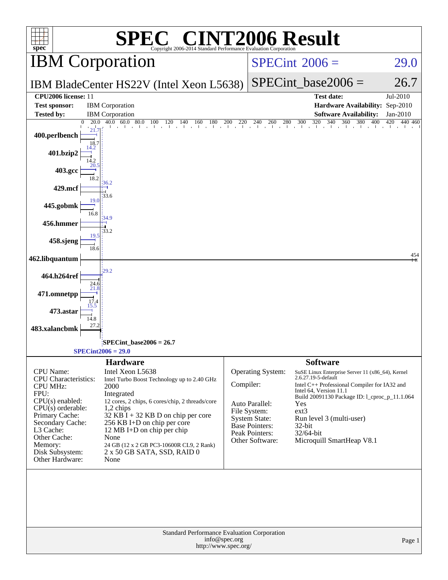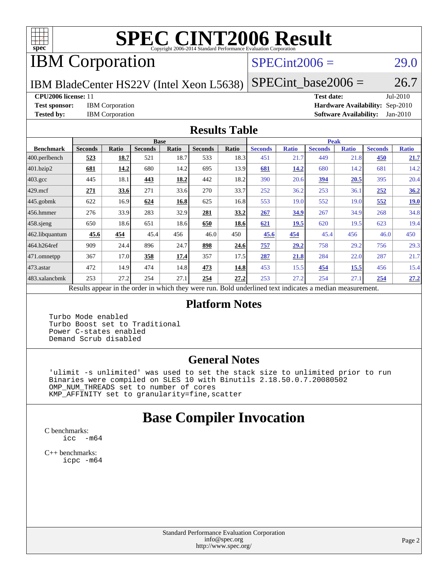

# **[SPEC CINT2006 Result](http://www.spec.org/auto/cpu2006/Docs/result-fields.html#SPECCINT2006Result)**

# IBM Corporation

### $SPECint2006 = 29.0$  $SPECint2006 = 29.0$

IBM BladeCenter HS22V (Intel Xeon L5638)

 $SPECTnt\_base2006 = 26.7$ 

#### **[CPU2006 license:](http://www.spec.org/auto/cpu2006/Docs/result-fields.html#CPU2006license)** 11 **[Test date:](http://www.spec.org/auto/cpu2006/Docs/result-fields.html#Testdate)** Jul-2010

**[Test sponsor:](http://www.spec.org/auto/cpu2006/Docs/result-fields.html#Testsponsor)** IBM Corporation **[Hardware Availability:](http://www.spec.org/auto/cpu2006/Docs/result-fields.html#HardwareAvailability)** Sep-2010 **[Tested by:](http://www.spec.org/auto/cpu2006/Docs/result-fields.html#Testedby)** IBM Corporation **[Software Availability:](http://www.spec.org/auto/cpu2006/Docs/result-fields.html#SoftwareAvailability)** Jan-2010

#### **[Results Table](http://www.spec.org/auto/cpu2006/Docs/result-fields.html#ResultsTable)**

|                  |                |              | <b>Base</b>    |       |                                                                                                          |       |                |              | <b>Peak</b>    |              |                |              |
|------------------|----------------|--------------|----------------|-------|----------------------------------------------------------------------------------------------------------|-------|----------------|--------------|----------------|--------------|----------------|--------------|
| <b>Benchmark</b> | <b>Seconds</b> | <b>Ratio</b> | <b>Seconds</b> | Ratio | <b>Seconds</b>                                                                                           | Ratio | <b>Seconds</b> | <b>Ratio</b> | <b>Seconds</b> | <b>Ratio</b> | <b>Seconds</b> | <b>Ratio</b> |
| 400.perlbench    | 523            | 18.7         | 521            | 18.7  | 533                                                                                                      | 18.3  | 451            | 21.7         | 449            | 21.8         | 450            | 21.7         |
| 401.bzip2        | 681            | 14.2         | 680            | 14.2  | 695                                                                                                      | 13.9  | 681            | 14.2         | 680            | 14.2         | 681            | 14.2         |
| $403.\text{gcc}$ | 445            | 18.1         | 443            | 18.2  | 442                                                                                                      | 18.2  | 390            | 20.6         | <u>394</u>     | 20.5         | 395            | 20.4         |
| $429$ .mcf       | 271            | 33.6         | 271            | 33.6  | 270                                                                                                      | 33.7  | 252            | 36.2         | 253            | 36.1         | 252            | 36.2         |
| $445$ .gobmk     | 622            | 16.9         | 624            | 16.8  | 625                                                                                                      | 16.8  | 553            | 19.0         | 552            | 19.0         | 552            | 19.0         |
| 456.hmmer        | 276            | 33.9         | 283            | 32.9  | 281                                                                                                      | 33.2  | 267            | 34.9         | 267            | 34.9         | 268            | 34.8         |
| 458 sjeng        | 650            | 18.6         | 651            | 18.6  | 650                                                                                                      | 18.6  | 621            | 19.5         | 620            | 19.5         | 623            | 19.4         |
| 462.libquantum   | 45.6           | 454          | 45.4           | 456   | 46.0                                                                                                     | 450   | 45.6           | 454          | 45.4           | 456          | 46.0           | 450          |
| 464.h264ref      | 909            | 24.4         | 896            | 24.7  | 898                                                                                                      | 24.6  | 757            | 29.2         | 758            | 29.2         | 756            | 29.3         |
| 471.omnetpp      | 367            | 17.0         | 358            | 17.4  | 357                                                                                                      | 17.5  | 287            | 21.8         | 284            | 22.0         | 287            | 21.7         |
| $473.$ astar     | 472            | 14.9         | 474            | 14.8  | 473                                                                                                      | 14.8  | 453            | 15.5         | 454            | 15.5         | 456            | 15.4         |
| 483.xalancbmk    | 253            | 27.2         | 254            | 27.1  | 254                                                                                                      | 27.2  | 253            | 27.2         | 254            | 27.1         | 254            | 27.2         |
|                  |                |              |                |       | Results appear in the order in which they were run. Bold underlined text indicates a median measurement. |       |                |              |                |              |                |              |

#### **[Platform Notes](http://www.spec.org/auto/cpu2006/Docs/result-fields.html#PlatformNotes)**

 Turbo Mode enabled Turbo Boost set to Traditional Power C-states enabled Demand Scrub disabled

#### **[General Notes](http://www.spec.org/auto/cpu2006/Docs/result-fields.html#GeneralNotes)**

 'ulimit -s unlimited' was used to set the stack size to unlimited prior to run Binaries were compiled on SLES 10 with Binutils 2.18.50.0.7.20080502 OMP\_NUM\_THREADS set to number of cores KMP\_AFFINITY set to granularity=fine,scatter

## **[Base Compiler Invocation](http://www.spec.org/auto/cpu2006/Docs/result-fields.html#BaseCompilerInvocation)**

[C benchmarks](http://www.spec.org/auto/cpu2006/Docs/result-fields.html#Cbenchmarks): [icc -m64](http://www.spec.org/cpu2006/results/res2010q3/cpu2006-20100802-12796.flags.html#user_CCbase_intel_icc_64bit_f346026e86af2a669e726fe758c88044)

[C++ benchmarks:](http://www.spec.org/auto/cpu2006/Docs/result-fields.html#CXXbenchmarks) [icpc -m64](http://www.spec.org/cpu2006/results/res2010q3/cpu2006-20100802-12796.flags.html#user_CXXbase_intel_icpc_64bit_fc66a5337ce925472a5c54ad6a0de310)

> Standard Performance Evaluation Corporation [info@spec.org](mailto:info@spec.org) <http://www.spec.org/>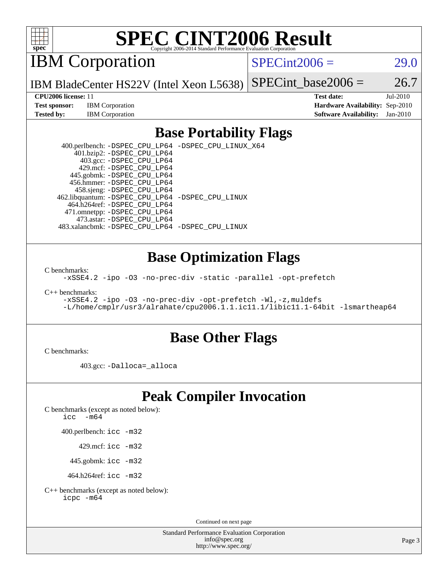

# **[SPEC CINT2006 Result](http://www.spec.org/auto/cpu2006/Docs/result-fields.html#SPECCINT2006Result)**

IBM Corporation

 $SPECint2006 = 29.0$  $SPECint2006 = 29.0$ 

IBM BladeCenter HS22V (Intel Xeon L5638) SPECint base2006 =  $26.7$ 

**[Test sponsor:](http://www.spec.org/auto/cpu2006/Docs/result-fields.html#Testsponsor)** IBM Corporation **[Hardware Availability:](http://www.spec.org/auto/cpu2006/Docs/result-fields.html#HardwareAvailability)** Sep-2010

**[CPU2006 license:](http://www.spec.org/auto/cpu2006/Docs/result-fields.html#CPU2006license)** 11 **[Test date:](http://www.spec.org/auto/cpu2006/Docs/result-fields.html#Testdate)** Jul-2010 **[Tested by:](http://www.spec.org/auto/cpu2006/Docs/result-fields.html#Testedby)** IBM Corporation **[Software Availability:](http://www.spec.org/auto/cpu2006/Docs/result-fields.html#SoftwareAvailability)** Jan-2010

### **[Base Portability Flags](http://www.spec.org/auto/cpu2006/Docs/result-fields.html#BasePortabilityFlags)**

 400.perlbench: [-DSPEC\\_CPU\\_LP64](http://www.spec.org/cpu2006/results/res2010q3/cpu2006-20100802-12796.flags.html#b400.perlbench_basePORTABILITY_DSPEC_CPU_LP64) [-DSPEC\\_CPU\\_LINUX\\_X64](http://www.spec.org/cpu2006/results/res2010q3/cpu2006-20100802-12796.flags.html#b400.perlbench_baseCPORTABILITY_DSPEC_CPU_LINUX_X64) 401.bzip2: [-DSPEC\\_CPU\\_LP64](http://www.spec.org/cpu2006/results/res2010q3/cpu2006-20100802-12796.flags.html#suite_basePORTABILITY401_bzip2_DSPEC_CPU_LP64) 403.gcc: [-DSPEC\\_CPU\\_LP64](http://www.spec.org/cpu2006/results/res2010q3/cpu2006-20100802-12796.flags.html#suite_basePORTABILITY403_gcc_DSPEC_CPU_LP64) 429.mcf: [-DSPEC\\_CPU\\_LP64](http://www.spec.org/cpu2006/results/res2010q3/cpu2006-20100802-12796.flags.html#suite_basePORTABILITY429_mcf_DSPEC_CPU_LP64) 445.gobmk: [-DSPEC\\_CPU\\_LP64](http://www.spec.org/cpu2006/results/res2010q3/cpu2006-20100802-12796.flags.html#suite_basePORTABILITY445_gobmk_DSPEC_CPU_LP64) 456.hmmer: [-DSPEC\\_CPU\\_LP64](http://www.spec.org/cpu2006/results/res2010q3/cpu2006-20100802-12796.flags.html#suite_basePORTABILITY456_hmmer_DSPEC_CPU_LP64) 458.sjeng: [-DSPEC\\_CPU\\_LP64](http://www.spec.org/cpu2006/results/res2010q3/cpu2006-20100802-12796.flags.html#suite_basePORTABILITY458_sjeng_DSPEC_CPU_LP64) 462.libquantum: [-DSPEC\\_CPU\\_LP64](http://www.spec.org/cpu2006/results/res2010q3/cpu2006-20100802-12796.flags.html#suite_basePORTABILITY462_libquantum_DSPEC_CPU_LP64) [-DSPEC\\_CPU\\_LINUX](http://www.spec.org/cpu2006/results/res2010q3/cpu2006-20100802-12796.flags.html#b462.libquantum_baseCPORTABILITY_DSPEC_CPU_LINUX) 464.h264ref: [-DSPEC\\_CPU\\_LP64](http://www.spec.org/cpu2006/results/res2010q3/cpu2006-20100802-12796.flags.html#suite_basePORTABILITY464_h264ref_DSPEC_CPU_LP64) 471.omnetpp: [-DSPEC\\_CPU\\_LP64](http://www.spec.org/cpu2006/results/res2010q3/cpu2006-20100802-12796.flags.html#suite_basePORTABILITY471_omnetpp_DSPEC_CPU_LP64) 473.astar: [-DSPEC\\_CPU\\_LP64](http://www.spec.org/cpu2006/results/res2010q3/cpu2006-20100802-12796.flags.html#suite_basePORTABILITY473_astar_DSPEC_CPU_LP64) 483.xalancbmk: [-DSPEC\\_CPU\\_LP64](http://www.spec.org/cpu2006/results/res2010q3/cpu2006-20100802-12796.flags.html#suite_basePORTABILITY483_xalancbmk_DSPEC_CPU_LP64) [-DSPEC\\_CPU\\_LINUX](http://www.spec.org/cpu2006/results/res2010q3/cpu2006-20100802-12796.flags.html#b483.xalancbmk_baseCXXPORTABILITY_DSPEC_CPU_LINUX)

### **[Base Optimization Flags](http://www.spec.org/auto/cpu2006/Docs/result-fields.html#BaseOptimizationFlags)**

[C benchmarks](http://www.spec.org/auto/cpu2006/Docs/result-fields.html#Cbenchmarks):

[-xSSE4.2](http://www.spec.org/cpu2006/results/res2010q3/cpu2006-20100802-12796.flags.html#user_CCbase_f-xSSE42_f91528193cf0b216347adb8b939d4107) [-ipo](http://www.spec.org/cpu2006/results/res2010q3/cpu2006-20100802-12796.flags.html#user_CCbase_f-ipo) [-O3](http://www.spec.org/cpu2006/results/res2010q3/cpu2006-20100802-12796.flags.html#user_CCbase_f-O3) [-no-prec-div](http://www.spec.org/cpu2006/results/res2010q3/cpu2006-20100802-12796.flags.html#user_CCbase_f-no-prec-div) [-static](http://www.spec.org/cpu2006/results/res2010q3/cpu2006-20100802-12796.flags.html#user_CCbase_f-static) [-parallel](http://www.spec.org/cpu2006/results/res2010q3/cpu2006-20100802-12796.flags.html#user_CCbase_f-parallel) [-opt-prefetch](http://www.spec.org/cpu2006/results/res2010q3/cpu2006-20100802-12796.flags.html#user_CCbase_f-opt-prefetch)

[C++ benchmarks:](http://www.spec.org/auto/cpu2006/Docs/result-fields.html#CXXbenchmarks)

[-xSSE4.2](http://www.spec.org/cpu2006/results/res2010q3/cpu2006-20100802-12796.flags.html#user_CXXbase_f-xSSE42_f91528193cf0b216347adb8b939d4107) [-ipo](http://www.spec.org/cpu2006/results/res2010q3/cpu2006-20100802-12796.flags.html#user_CXXbase_f-ipo) [-O3](http://www.spec.org/cpu2006/results/res2010q3/cpu2006-20100802-12796.flags.html#user_CXXbase_f-O3) [-no-prec-div](http://www.spec.org/cpu2006/results/res2010q3/cpu2006-20100802-12796.flags.html#user_CXXbase_f-no-prec-div) [-opt-prefetch](http://www.spec.org/cpu2006/results/res2010q3/cpu2006-20100802-12796.flags.html#user_CXXbase_f-opt-prefetch) [-Wl,-z,muldefs](http://www.spec.org/cpu2006/results/res2010q3/cpu2006-20100802-12796.flags.html#user_CXXbase_link_force_multiple1_74079c344b956b9658436fd1b6dd3a8a) [-L/home/cmplr/usr3/alrahate/cpu2006.1.1.ic11.1/libic11.1-64bit -lsmartheap64](http://www.spec.org/cpu2006/results/res2010q3/cpu2006-20100802-12796.flags.html#user_CXXbase_SmartHeap64_e2306cda84805d1ab360117a79ff779c)

### **[Base Other Flags](http://www.spec.org/auto/cpu2006/Docs/result-fields.html#BaseOtherFlags)**

[C benchmarks](http://www.spec.org/auto/cpu2006/Docs/result-fields.html#Cbenchmarks):

403.gcc: [-Dalloca=\\_alloca](http://www.spec.org/cpu2006/results/res2010q3/cpu2006-20100802-12796.flags.html#b403.gcc_baseEXTRA_CFLAGS_Dalloca_be3056838c12de2578596ca5467af7f3)

## **[Peak Compiler Invocation](http://www.spec.org/auto/cpu2006/Docs/result-fields.html#PeakCompilerInvocation)**

[C benchmarks \(except as noted below\)](http://www.spec.org/auto/cpu2006/Docs/result-fields.html#Cbenchmarksexceptasnotedbelow):

icc  $-m64$ 

400.perlbench: [icc -m32](http://www.spec.org/cpu2006/results/res2010q3/cpu2006-20100802-12796.flags.html#user_peakCCLD400_perlbench_intel_icc_32bit_a6a621f8d50482236b970c6ac5f55f93)

429.mcf: [icc -m32](http://www.spec.org/cpu2006/results/res2010q3/cpu2006-20100802-12796.flags.html#user_peakCCLD429_mcf_intel_icc_32bit_a6a621f8d50482236b970c6ac5f55f93)

445.gobmk: [icc -m32](http://www.spec.org/cpu2006/results/res2010q3/cpu2006-20100802-12796.flags.html#user_peakCCLD445_gobmk_intel_icc_32bit_a6a621f8d50482236b970c6ac5f55f93)

464.h264ref: [icc -m32](http://www.spec.org/cpu2006/results/res2010q3/cpu2006-20100802-12796.flags.html#user_peakCCLD464_h264ref_intel_icc_32bit_a6a621f8d50482236b970c6ac5f55f93)

[C++ benchmarks \(except as noted below\):](http://www.spec.org/auto/cpu2006/Docs/result-fields.html#CXXbenchmarksexceptasnotedbelow) [icpc -m64](http://www.spec.org/cpu2006/results/res2010q3/cpu2006-20100802-12796.flags.html#user_CXXpeak_intel_icpc_64bit_fc66a5337ce925472a5c54ad6a0de310)

Continued on next page

Standard Performance Evaluation Corporation [info@spec.org](mailto:info@spec.org) <http://www.spec.org/>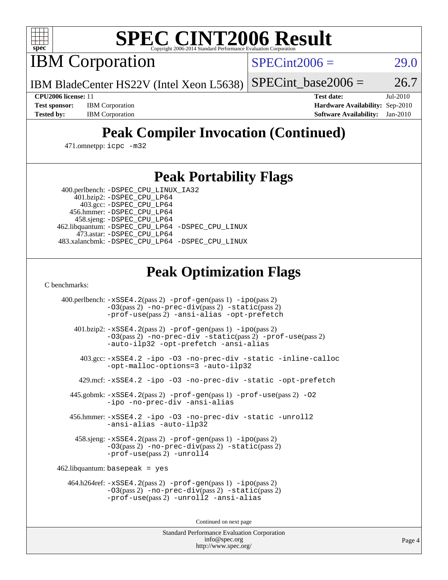

# **[SPEC CINT2006 Result](http://www.spec.org/auto/cpu2006/Docs/result-fields.html#SPECCINT2006Result)**

IBM Corporation

 $SPECint2006 = 29.0$  $SPECint2006 = 29.0$ 

IBM BladeCenter HS22V (Intel Xeon L5638) SPECint base2006 =  $26.7$ 

**[CPU2006 license:](http://www.spec.org/auto/cpu2006/Docs/result-fields.html#CPU2006license)** 11 **[Test date:](http://www.spec.org/auto/cpu2006/Docs/result-fields.html#Testdate)** Jul-2010 **[Test sponsor:](http://www.spec.org/auto/cpu2006/Docs/result-fields.html#Testsponsor)** IBM Corporation **[Hardware Availability:](http://www.spec.org/auto/cpu2006/Docs/result-fields.html#HardwareAvailability)** Sep-2010 **[Tested by:](http://www.spec.org/auto/cpu2006/Docs/result-fields.html#Testedby)** IBM Corporation **[Software Availability:](http://www.spec.org/auto/cpu2006/Docs/result-fields.html#SoftwareAvailability)** Jan-2010

# **[Peak Compiler Invocation \(Continued\)](http://www.spec.org/auto/cpu2006/Docs/result-fields.html#PeakCompilerInvocation)**

471.omnetpp: [icpc -m32](http://www.spec.org/cpu2006/results/res2010q3/cpu2006-20100802-12796.flags.html#user_peakCXXLD471_omnetpp_intel_icpc_32bit_4e5a5ef1a53fd332b3c49e69c3330699)

## **[Peak Portability Flags](http://www.spec.org/auto/cpu2006/Docs/result-fields.html#PeakPortabilityFlags)**

 400.perlbench: [-DSPEC\\_CPU\\_LINUX\\_IA32](http://www.spec.org/cpu2006/results/res2010q3/cpu2006-20100802-12796.flags.html#b400.perlbench_peakCPORTABILITY_DSPEC_CPU_LINUX_IA32) 401.bzip2: [-DSPEC\\_CPU\\_LP64](http://www.spec.org/cpu2006/results/res2010q3/cpu2006-20100802-12796.flags.html#suite_peakPORTABILITY401_bzip2_DSPEC_CPU_LP64)

 403.gcc: [-DSPEC\\_CPU\\_LP64](http://www.spec.org/cpu2006/results/res2010q3/cpu2006-20100802-12796.flags.html#suite_peakPORTABILITY403_gcc_DSPEC_CPU_LP64) 456.hmmer: [-DSPEC\\_CPU\\_LP64](http://www.spec.org/cpu2006/results/res2010q3/cpu2006-20100802-12796.flags.html#suite_peakPORTABILITY456_hmmer_DSPEC_CPU_LP64) 458.sjeng: [-DSPEC\\_CPU\\_LP64](http://www.spec.org/cpu2006/results/res2010q3/cpu2006-20100802-12796.flags.html#suite_peakPORTABILITY458_sjeng_DSPEC_CPU_LP64) 462.libquantum: [-DSPEC\\_CPU\\_LP64](http://www.spec.org/cpu2006/results/res2010q3/cpu2006-20100802-12796.flags.html#suite_peakPORTABILITY462_libquantum_DSPEC_CPU_LP64) [-DSPEC\\_CPU\\_LINUX](http://www.spec.org/cpu2006/results/res2010q3/cpu2006-20100802-12796.flags.html#b462.libquantum_peakCPORTABILITY_DSPEC_CPU_LINUX) 473.astar: [-DSPEC\\_CPU\\_LP64](http://www.spec.org/cpu2006/results/res2010q3/cpu2006-20100802-12796.flags.html#suite_peakPORTABILITY473_astar_DSPEC_CPU_LP64) 483.xalancbmk: [-DSPEC\\_CPU\\_LP64](http://www.spec.org/cpu2006/results/res2010q3/cpu2006-20100802-12796.flags.html#suite_peakPORTABILITY483_xalancbmk_DSPEC_CPU_LP64) [-DSPEC\\_CPU\\_LINUX](http://www.spec.org/cpu2006/results/res2010q3/cpu2006-20100802-12796.flags.html#b483.xalancbmk_peakCXXPORTABILITY_DSPEC_CPU_LINUX)

## **[Peak Optimization Flags](http://www.spec.org/auto/cpu2006/Docs/result-fields.html#PeakOptimizationFlags)**

[C benchmarks](http://www.spec.org/auto/cpu2006/Docs/result-fields.html#Cbenchmarks):

 400.perlbench: [-xSSE4.2](http://www.spec.org/cpu2006/results/res2010q3/cpu2006-20100802-12796.flags.html#user_peakPASS2_CFLAGSPASS2_LDCFLAGS400_perlbench_f-xSSE42_f91528193cf0b216347adb8b939d4107)(pass 2) [-prof-gen](http://www.spec.org/cpu2006/results/res2010q3/cpu2006-20100802-12796.flags.html#user_peakPASS1_CFLAGSPASS1_LDCFLAGS400_perlbench_prof_gen_e43856698f6ca7b7e442dfd80e94a8fc)(pass 1) [-ipo](http://www.spec.org/cpu2006/results/res2010q3/cpu2006-20100802-12796.flags.html#user_peakPASS2_CFLAGSPASS2_LDCFLAGS400_perlbench_f-ipo)(pass 2) [-O3](http://www.spec.org/cpu2006/results/res2010q3/cpu2006-20100802-12796.flags.html#user_peakPASS2_CFLAGSPASS2_LDCFLAGS400_perlbench_f-O3)(pass 2) [-no-prec-div](http://www.spec.org/cpu2006/results/res2010q3/cpu2006-20100802-12796.flags.html#user_peakPASS2_CFLAGSPASS2_LDCFLAGS400_perlbench_f-no-prec-div)(pass 2) [-static](http://www.spec.org/cpu2006/results/res2010q3/cpu2006-20100802-12796.flags.html#user_peakPASS2_CFLAGSPASS2_LDCFLAGS400_perlbench_f-static)(pass 2) [-prof-use](http://www.spec.org/cpu2006/results/res2010q3/cpu2006-20100802-12796.flags.html#user_peakPASS2_CFLAGSPASS2_LDCFLAGS400_perlbench_prof_use_bccf7792157ff70d64e32fe3e1250b55)(pass 2) [-ansi-alias](http://www.spec.org/cpu2006/results/res2010q3/cpu2006-20100802-12796.flags.html#user_peakCOPTIMIZE400_perlbench_f-ansi-alias) [-opt-prefetch](http://www.spec.org/cpu2006/results/res2010q3/cpu2006-20100802-12796.flags.html#user_peakCOPTIMIZE400_perlbench_f-opt-prefetch) 401.bzip2: [-xSSE4.2](http://www.spec.org/cpu2006/results/res2010q3/cpu2006-20100802-12796.flags.html#user_peakPASS2_CFLAGSPASS2_LDCFLAGS401_bzip2_f-xSSE42_f91528193cf0b216347adb8b939d4107)(pass 2) [-prof-gen](http://www.spec.org/cpu2006/results/res2010q3/cpu2006-20100802-12796.flags.html#user_peakPASS1_CFLAGSPASS1_LDCFLAGS401_bzip2_prof_gen_e43856698f6ca7b7e442dfd80e94a8fc)(pass 1) [-ipo](http://www.spec.org/cpu2006/results/res2010q3/cpu2006-20100802-12796.flags.html#user_peakPASS2_CFLAGSPASS2_LDCFLAGS401_bzip2_f-ipo)(pass 2) [-O3](http://www.spec.org/cpu2006/results/res2010q3/cpu2006-20100802-12796.flags.html#user_peakPASS2_CFLAGSPASS2_LDCFLAGS401_bzip2_f-O3)(pass 2) [-no-prec-div](http://www.spec.org/cpu2006/results/res2010q3/cpu2006-20100802-12796.flags.html#user_peakCOPTIMIZEPASS2_CFLAGSPASS2_LDCFLAGS401_bzip2_f-no-prec-div) [-static](http://www.spec.org/cpu2006/results/res2010q3/cpu2006-20100802-12796.flags.html#user_peakPASS2_CFLAGSPASS2_LDCFLAGS401_bzip2_f-static)(pass 2) [-prof-use](http://www.spec.org/cpu2006/results/res2010q3/cpu2006-20100802-12796.flags.html#user_peakPASS2_CFLAGSPASS2_LDCFLAGS401_bzip2_prof_use_bccf7792157ff70d64e32fe3e1250b55)(pass 2) [-auto-ilp32](http://www.spec.org/cpu2006/results/res2010q3/cpu2006-20100802-12796.flags.html#user_peakCOPTIMIZE401_bzip2_f-auto-ilp32) [-opt-prefetch](http://www.spec.org/cpu2006/results/res2010q3/cpu2006-20100802-12796.flags.html#user_peakCOPTIMIZE401_bzip2_f-opt-prefetch) [-ansi-alias](http://www.spec.org/cpu2006/results/res2010q3/cpu2006-20100802-12796.flags.html#user_peakCOPTIMIZE401_bzip2_f-ansi-alias) 403.gcc: [-xSSE4.2](http://www.spec.org/cpu2006/results/res2010q3/cpu2006-20100802-12796.flags.html#user_peakCOPTIMIZE403_gcc_f-xSSE42_f91528193cf0b216347adb8b939d4107) [-ipo](http://www.spec.org/cpu2006/results/res2010q3/cpu2006-20100802-12796.flags.html#user_peakCOPTIMIZE403_gcc_f-ipo) [-O3](http://www.spec.org/cpu2006/results/res2010q3/cpu2006-20100802-12796.flags.html#user_peakCOPTIMIZE403_gcc_f-O3) [-no-prec-div](http://www.spec.org/cpu2006/results/res2010q3/cpu2006-20100802-12796.flags.html#user_peakCOPTIMIZE403_gcc_f-no-prec-div) [-static](http://www.spec.org/cpu2006/results/res2010q3/cpu2006-20100802-12796.flags.html#user_peakCOPTIMIZE403_gcc_f-static) [-inline-calloc](http://www.spec.org/cpu2006/results/res2010q3/cpu2006-20100802-12796.flags.html#user_peakCOPTIMIZE403_gcc_f-inline-calloc) [-opt-malloc-options=3](http://www.spec.org/cpu2006/results/res2010q3/cpu2006-20100802-12796.flags.html#user_peakCOPTIMIZE403_gcc_f-opt-malloc-options_13ab9b803cf986b4ee62f0a5998c2238) [-auto-ilp32](http://www.spec.org/cpu2006/results/res2010q3/cpu2006-20100802-12796.flags.html#user_peakCOPTIMIZE403_gcc_f-auto-ilp32) 429.mcf: [-xSSE4.2](http://www.spec.org/cpu2006/results/res2010q3/cpu2006-20100802-12796.flags.html#user_peakCOPTIMIZE429_mcf_f-xSSE42_f91528193cf0b216347adb8b939d4107) [-ipo](http://www.spec.org/cpu2006/results/res2010q3/cpu2006-20100802-12796.flags.html#user_peakCOPTIMIZE429_mcf_f-ipo) [-O3](http://www.spec.org/cpu2006/results/res2010q3/cpu2006-20100802-12796.flags.html#user_peakCOPTIMIZE429_mcf_f-O3) [-no-prec-div](http://www.spec.org/cpu2006/results/res2010q3/cpu2006-20100802-12796.flags.html#user_peakCOPTIMIZE429_mcf_f-no-prec-div) [-static](http://www.spec.org/cpu2006/results/res2010q3/cpu2006-20100802-12796.flags.html#user_peakCOPTIMIZE429_mcf_f-static) [-opt-prefetch](http://www.spec.org/cpu2006/results/res2010q3/cpu2006-20100802-12796.flags.html#user_peakCOPTIMIZE429_mcf_f-opt-prefetch) 445.gobmk: [-xSSE4.2](http://www.spec.org/cpu2006/results/res2010q3/cpu2006-20100802-12796.flags.html#user_peakPASS2_CFLAGSPASS2_LDCFLAGS445_gobmk_f-xSSE42_f91528193cf0b216347adb8b939d4107)(pass 2) [-prof-gen](http://www.spec.org/cpu2006/results/res2010q3/cpu2006-20100802-12796.flags.html#user_peakPASS1_CFLAGSPASS1_LDCFLAGS445_gobmk_prof_gen_e43856698f6ca7b7e442dfd80e94a8fc)(pass 1) [-prof-use](http://www.spec.org/cpu2006/results/res2010q3/cpu2006-20100802-12796.flags.html#user_peakPASS2_CFLAGSPASS2_LDCFLAGS445_gobmk_prof_use_bccf7792157ff70d64e32fe3e1250b55)(pass 2) [-O2](http://www.spec.org/cpu2006/results/res2010q3/cpu2006-20100802-12796.flags.html#user_peakCOPTIMIZE445_gobmk_f-O2) [-ipo](http://www.spec.org/cpu2006/results/res2010q3/cpu2006-20100802-12796.flags.html#user_peakCOPTIMIZE445_gobmk_f-ipo) [-no-prec-div](http://www.spec.org/cpu2006/results/res2010q3/cpu2006-20100802-12796.flags.html#user_peakCOPTIMIZE445_gobmk_f-no-prec-div) [-ansi-alias](http://www.spec.org/cpu2006/results/res2010q3/cpu2006-20100802-12796.flags.html#user_peakCOPTIMIZE445_gobmk_f-ansi-alias) 456.hmmer: [-xSSE4.2](http://www.spec.org/cpu2006/results/res2010q3/cpu2006-20100802-12796.flags.html#user_peakCOPTIMIZE456_hmmer_f-xSSE42_f91528193cf0b216347adb8b939d4107) [-ipo](http://www.spec.org/cpu2006/results/res2010q3/cpu2006-20100802-12796.flags.html#user_peakCOPTIMIZE456_hmmer_f-ipo) [-O3](http://www.spec.org/cpu2006/results/res2010q3/cpu2006-20100802-12796.flags.html#user_peakCOPTIMIZE456_hmmer_f-O3) [-no-prec-div](http://www.spec.org/cpu2006/results/res2010q3/cpu2006-20100802-12796.flags.html#user_peakCOPTIMIZE456_hmmer_f-no-prec-div) [-static](http://www.spec.org/cpu2006/results/res2010q3/cpu2006-20100802-12796.flags.html#user_peakCOPTIMIZE456_hmmer_f-static) [-unroll2](http://www.spec.org/cpu2006/results/res2010q3/cpu2006-20100802-12796.flags.html#user_peakCOPTIMIZE456_hmmer_f-unroll_784dae83bebfb236979b41d2422d7ec2) [-ansi-alias](http://www.spec.org/cpu2006/results/res2010q3/cpu2006-20100802-12796.flags.html#user_peakCOPTIMIZE456_hmmer_f-ansi-alias) [-auto-ilp32](http://www.spec.org/cpu2006/results/res2010q3/cpu2006-20100802-12796.flags.html#user_peakCOPTIMIZE456_hmmer_f-auto-ilp32) 458.sjeng: [-xSSE4.2](http://www.spec.org/cpu2006/results/res2010q3/cpu2006-20100802-12796.flags.html#user_peakPASS2_CFLAGSPASS2_LDCFLAGS458_sjeng_f-xSSE42_f91528193cf0b216347adb8b939d4107)(pass 2) [-prof-gen](http://www.spec.org/cpu2006/results/res2010q3/cpu2006-20100802-12796.flags.html#user_peakPASS1_CFLAGSPASS1_LDCFLAGS458_sjeng_prof_gen_e43856698f6ca7b7e442dfd80e94a8fc)(pass 1) [-ipo](http://www.spec.org/cpu2006/results/res2010q3/cpu2006-20100802-12796.flags.html#user_peakPASS2_CFLAGSPASS2_LDCFLAGS458_sjeng_f-ipo)(pass 2) [-O3](http://www.spec.org/cpu2006/results/res2010q3/cpu2006-20100802-12796.flags.html#user_peakPASS2_CFLAGSPASS2_LDCFLAGS458_sjeng_f-O3)(pass 2) [-no-prec-div](http://www.spec.org/cpu2006/results/res2010q3/cpu2006-20100802-12796.flags.html#user_peakPASS2_CFLAGSPASS2_LDCFLAGS458_sjeng_f-no-prec-div)(pass 2) [-static](http://www.spec.org/cpu2006/results/res2010q3/cpu2006-20100802-12796.flags.html#user_peakPASS2_CFLAGSPASS2_LDCFLAGS458_sjeng_f-static)(pass 2) [-prof-use](http://www.spec.org/cpu2006/results/res2010q3/cpu2006-20100802-12796.flags.html#user_peakPASS2_CFLAGSPASS2_LDCFLAGS458_sjeng_prof_use_bccf7792157ff70d64e32fe3e1250b55)(pass 2) [-unroll4](http://www.spec.org/cpu2006/results/res2010q3/cpu2006-20100802-12796.flags.html#user_peakCOPTIMIZE458_sjeng_f-unroll_4e5e4ed65b7fd20bdcd365bec371b81f) 462.libquantum: basepeak = yes 464.h264ref: [-xSSE4.2](http://www.spec.org/cpu2006/results/res2010q3/cpu2006-20100802-12796.flags.html#user_peakPASS2_CFLAGSPASS2_LDCFLAGS464_h264ref_f-xSSE42_f91528193cf0b216347adb8b939d4107)(pass 2) [-prof-gen](http://www.spec.org/cpu2006/results/res2010q3/cpu2006-20100802-12796.flags.html#user_peakPASS1_CFLAGSPASS1_LDCFLAGS464_h264ref_prof_gen_e43856698f6ca7b7e442dfd80e94a8fc)(pass 1) [-ipo](http://www.spec.org/cpu2006/results/res2010q3/cpu2006-20100802-12796.flags.html#user_peakPASS2_CFLAGSPASS2_LDCFLAGS464_h264ref_f-ipo)(pass 2) [-O3](http://www.spec.org/cpu2006/results/res2010q3/cpu2006-20100802-12796.flags.html#user_peakPASS2_CFLAGSPASS2_LDCFLAGS464_h264ref_f-O3)(pass 2) [-no-prec-div](http://www.spec.org/cpu2006/results/res2010q3/cpu2006-20100802-12796.flags.html#user_peakPASS2_CFLAGSPASS2_LDCFLAGS464_h264ref_f-no-prec-div)(pass 2) [-static](http://www.spec.org/cpu2006/results/res2010q3/cpu2006-20100802-12796.flags.html#user_peakPASS2_CFLAGSPASS2_LDCFLAGS464_h264ref_f-static)(pass 2) [-prof-use](http://www.spec.org/cpu2006/results/res2010q3/cpu2006-20100802-12796.flags.html#user_peakPASS2_CFLAGSPASS2_LDCFLAGS464_h264ref_prof_use_bccf7792157ff70d64e32fe3e1250b55)(pass 2) [-unroll2](http://www.spec.org/cpu2006/results/res2010q3/cpu2006-20100802-12796.flags.html#user_peakCOPTIMIZE464_h264ref_f-unroll_784dae83bebfb236979b41d2422d7ec2) [-ansi-alias](http://www.spec.org/cpu2006/results/res2010q3/cpu2006-20100802-12796.flags.html#user_peakCOPTIMIZE464_h264ref_f-ansi-alias)

Continued on next page

Standard Performance Evaluation Corporation [info@spec.org](mailto:info@spec.org) <http://www.spec.org/>